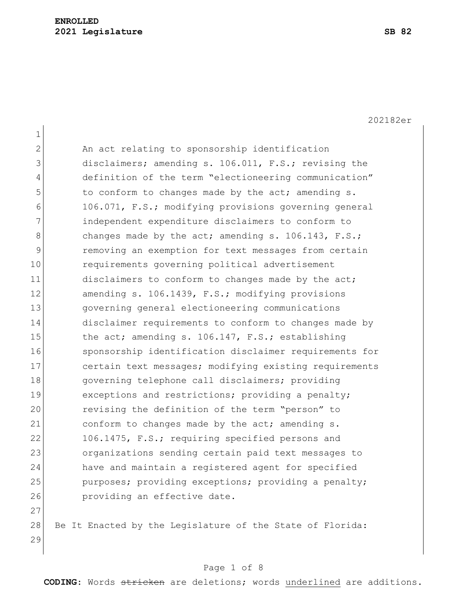202182er

1 2 An act relating to sponsorship identification 3 disclaimers; amending s. 106.011, F.S.; revising the 4 definition of the term "electioneering communication" 5 to conform to changes made by the act; amending s. 6 106.071, F.S.; modifying provisions governing general 7 independent expenditure disclaimers to conform to 8 changes made by the act; amending s. 106.143, F.S.; 9 removing an exemption for text messages from certain 10 requirements governing political advertisement 11 disclaimers to conform to changes made by the act; 12 amending s. 106.1439, F.S.; modifying provisions 13 governing general electioneering communications 14 disclaimer requirements to conform to changes made by 15 the act; amending s. 106.147, F.S.; establishing 16 sponsorship identification disclaimer requirements for 17 certain text messages; modifying existing requirements 18 **governing telephone call disclaimers;** providing 19 exceptions and restrictions; providing a penalty; 20 revising the definition of the term "person" to 21 conform to changes made by the act; amending s. 22 106.1475, F.S.; requiring specified persons and 23 organizations sending certain paid text messages to 24 have and maintain a registered agent for specified 25 purposes; providing exceptions; providing a penalty; 26 **providing an effective date.** 27

28 Be It Enacted by the Legislature of the State of Florida: 29

#### Page 1 of 8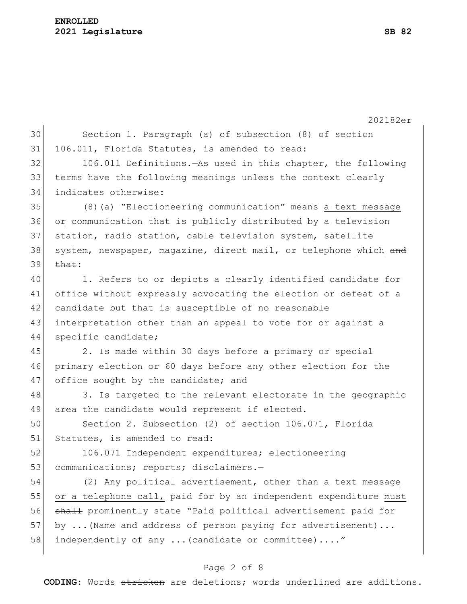#### **ENROLLED 2021 Legislature SB 82**

|    | 202182er                                                         |
|----|------------------------------------------------------------------|
| 30 | Section 1. Paragraph (a) of subsection (8) of section            |
| 31 | 106.011, Florida Statutes, is amended to read:                   |
| 32 | 106.011 Definitions. - As used in this chapter, the following    |
| 33 | terms have the following meanings unless the context clearly     |
| 34 | indicates otherwise:                                             |
| 35 | (8) (a) "Electioneering communication" means a text message      |
| 36 | or communication that is publicly distributed by a television    |
| 37 | station, radio station, cable television system, satellite       |
| 38 | system, newspaper, magazine, direct mail, or telephone which and |
| 39 | <del>that</del> :                                                |
| 40 | 1. Refers to or depicts a clearly identified candidate for       |
| 41 | office without expressly advocating the election or defeat of a  |
| 42 | candidate but that is susceptible of no reasonable               |
| 43 | interpretation other than an appeal to vote for or against a     |
| 44 | specific candidate;                                              |
| 45 | 2. Is made within 30 days before a primary or special            |
| 46 | primary election or 60 days before any other election for the    |
| 47 | office sought by the candidate; and                              |
| 48 | 3. Is targeted to the relevant electorate in the geographic      |
| 49 | area the candidate would represent if elected.                   |
| 50 | Section 2. Subsection (2) of section 106.071, Florida            |
| 51 | Statutes, is amended to read:                                    |
| 52 | 106.071 Independent expenditures; electioneering                 |
| 53 | communications; reports; disclaimers.-                           |
| 54 | (2) Any political advertisement, other than a text message       |
| 55 | or a telephone call, paid for by an independent expenditure must |
| 56 | shall prominently state "Paid political advertisement paid for   |
| 57 | by  (Name and address of person paying for advertisement)        |
| 58 | independently of any  (candidate or committee) "                 |
|    |                                                                  |

# Page 2 of 8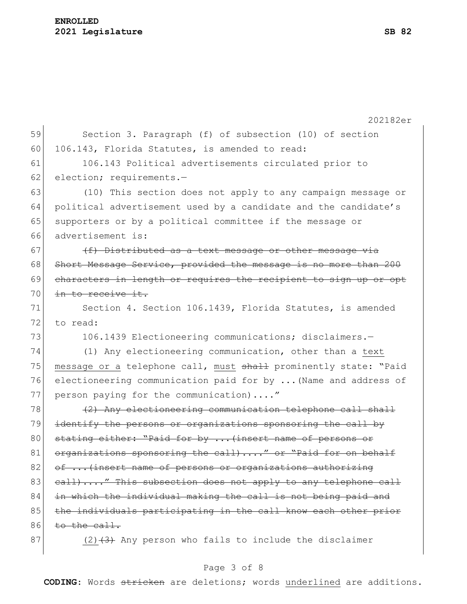|    | 202182er                                                         |
|----|------------------------------------------------------------------|
| 59 | Section 3. Paragraph (f) of subsection (10) of section           |
| 60 | 106.143, Florida Statutes, is amended to read:                   |
| 61 | 106.143 Political advertisements circulated prior to             |
| 62 | election; requirements.-                                         |
| 63 | (10) This section does not apply to any campaign message or      |
| 64 | political advertisement used by a candidate and the candidate's  |
| 65 | supporters or by a political committee if the message or         |
| 66 | advertisement is:                                                |
| 67 | (f) Distributed as a text message or other message via           |
| 68 | Short Message Service, provided the message is no more than 200  |
| 69 | characters in length or requires the recipient to sign up or opt |
| 70 | in to receive it.                                                |
| 71 | Section 4. Section 106.1439, Florida Statutes, is amended        |
| 72 | to read:                                                         |
| 73 | 106.1439 Electioneering communications; disclaimers.-            |
| 74 | (1) Any electioneering communication, other than a text          |
| 75 | message or a telephone call, must shall prominently state: "Paid |
| 76 | electioneering communication paid for by  (Name and address of   |
| 77 | person paying for the communication)"                            |
| 78 | (2) Any electioneering communication telephone call shall        |
| 79 | identify the persons or organizations sponsoring the call by     |
| 80 | stating either: "Paid for by  (insert name of persons or         |
| 81 | organizations sponsoring the call)" or "Paid for on behalf       |
| 82 | of  (insert name of persons or organizations authorizing         |
| 83 | eall)" This subsection does not apply to any telephone call      |
| 84 | in which the individual making the call is not being paid and    |
| 85 | the individuals participating in the call know each other prior  |
| 86 | to the call.                                                     |
| 87 | $(2)$ $(3)$ Any person who fails to include the disclaimer       |

# Page 3 of 8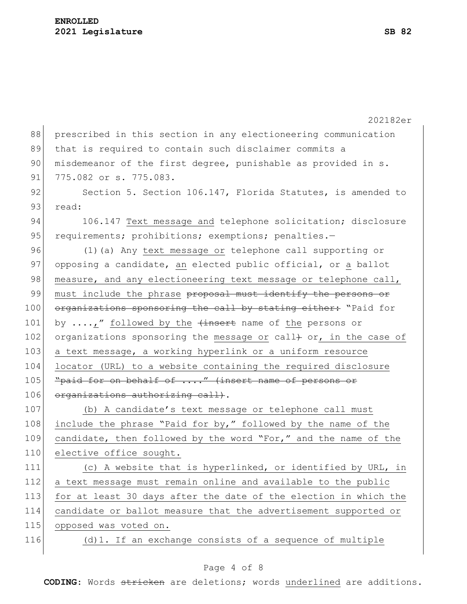|     | 202182er                                                         |
|-----|------------------------------------------------------------------|
| 88  | prescribed in this section in any electioneering communication   |
| 89  | that is required to contain such disclaimer commits a            |
| 90  | misdemeanor of the first degree, punishable as provided in s.    |
| 91  | 775.082 or s. 775.083.                                           |
| 92  | Section 5. Section 106.147, Florida Statutes, is amended to      |
| 93  | read:                                                            |
| 94  | 106.147 Text message and telephone solicitation; disclosure      |
| 95  | requirements; prohibitions; exemptions; penalties.-              |
| 96  | (1) (a) Any text message or telephone call supporting or         |
| 97  | opposing a candidate, an elected public official, or a ballot    |
| 98  | measure, and any electioneering text message or telephone call,  |
| 99  | must include the phrase proposal must identify the persons or    |
| 100 | organizations sponsoring the call by stating either: "Paid for   |
| 101 | by ," followed by the $\frac{1}{1}$ and the persons or           |
| 102 | organizations sponsoring the message or call+ or, in the case of |
| 103 | a text message, a working hyperlink or a uniform resource        |
| 104 | locator (URL) to a website containing the required disclosure    |
| 105 | "paid for on behalf of " (insert name of persons or              |
| 106 | organizations authorizing call).                                 |
| 107 | (b) A candidate's text message or telephone call must            |
| 108 | include the phrase "Paid for by," followed by the name of the    |
| 109 | candidate, then followed by the word "For," and the name of the  |
| 110 | elective office sought.                                          |
| 111 | (c) A website that is hyperlinked, or identified by URL, in      |
| 112 | a text message must remain online and available to the public    |
| 113 | for at least 30 days after the date of the election in which the |
| 114 | candidate or ballot measure that the advertisement supported or  |
| 115 | opposed was voted on.                                            |
| 116 | (d) 1. If an exchange consists of a sequence of multiple         |
|     |                                                                  |

# Page 4 of 8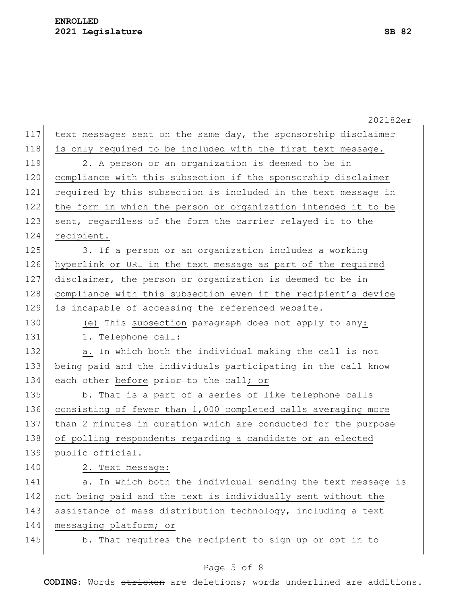|     | 202182er                                                       |
|-----|----------------------------------------------------------------|
| 117 | text messages sent on the same day, the sponsorship disclaimer |
| 118 | is only required to be included with the first text message.   |
| 119 | 2. A person or an organization is deemed to be in              |
| 120 | compliance with this subsection if the sponsorship disclaimer  |
| 121 | required by this subsection is included in the text message in |
| 122 | the form in which the person or organization intended it to be |
| 123 | sent, regardless of the form the carrier relayed it to the     |
| 124 | recipient.                                                     |
| 125 | 3. If a person or an organization includes a working           |
| 126 | hyperlink or URL in the text message as part of the required   |
| 127 | disclaimer, the person or organization is deemed to be in      |
| 128 | compliance with this subsection even if the recipient's device |
| 129 | is incapable of accessing the referenced website.              |
| 130 | (e) This subsection paragraph does not apply to any:           |
| 131 | 1. Telephone call:                                             |
| 132 | a. In which both the individual making the call is not         |
| 133 | being paid and the individuals participating in the call know  |
| 134 | each other before prior to the call; or                        |
| 135 | b. That is a part of a series of like telephone calls          |
| 136 | consisting of fewer than 1,000 completed calls averaging more  |
| 137 | than 2 minutes in duration which are conducted for the purpose |
| 138 | of polling respondents regarding a candidate or an elected     |
| 139 | public official.                                               |
| 140 | 2. Text message:                                               |
| 141 | In which both the individual sending the text message is<br>a. |
| 142 | not being paid and the text is individually sent without the   |
| 143 | assistance of mass distribution technology, including a text   |
| 144 | messaging platform; or                                         |
| 145 | b. That requires the recipient to sign up or opt in to         |
|     |                                                                |

# Page 5 of 8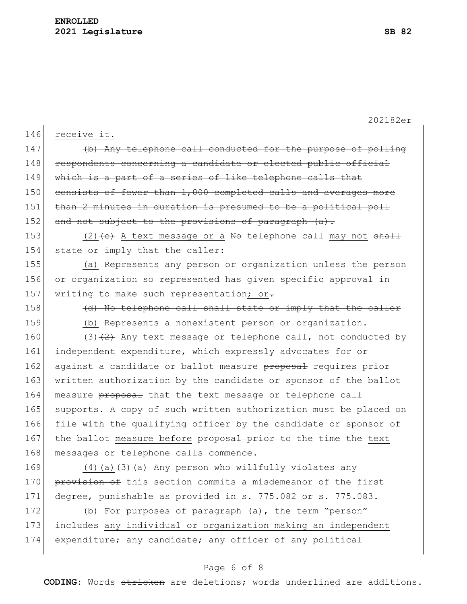|     | 202182er                                                         |
|-----|------------------------------------------------------------------|
| 146 | receive it.                                                      |
| 147 | (b) Any telephone call conducted for the purpose of polling      |
| 148 | respondents concerning a candidate or elected public official    |
| 149 | which is a part of a series of like telephone calls that         |
| 150 | consists of fewer than 1,000 completed calls and averages more   |
| 151 | than 2 minutes in duration is presumed to be a political poll    |
| 152 | and not subject to the provisions of paragraph (a).              |
| 153 | $(2)$ + C+ A text message or a No telephone call may not shall   |
| 154 | state or imply that the caller:                                  |
| 155 | (a) Represents any person or organization unless the person      |
| 156 | or organization so represented has given specific approval in    |
| 157 | writing to make such representation; or.                         |
| 158 | (d) No telephone call shall state or imply that the caller       |
| 159 | (b) Represents a nonexistent person or organization.             |
| 160 | $(3)$ $(2)$ Any text message or telephone call, not conducted by |
| 161 | independent expenditure, which expressly advocates for or        |
| 162 | against a candidate or ballot measure proposal requires prior    |
| 163 | written authorization by the candidate or sponsor of the ballot  |
| 164 | measure proposal that the text message or telephone call         |
| 165 | supports. A copy of such written authorization must be placed on |
| 166 | file with the qualifying officer by the candidate or sponsor of  |
| 167 | the ballot measure before proposal prior to the time the text    |
| 168 | messages or telephone calls commence.                            |
| 169 | $(4)$ (a) $(3)$ $(4)$ Any person who willfully violates any      |
| 170 | provision of this section commits a misdemeanor of the first     |
| 171 | degree, punishable as provided in s. 775.082 or s. 775.083.      |
| 172 | (b) For purposes of paragraph (a), the term "person"             |
| 173 | includes any individual or organization making an independent    |
| 174 | expenditure; any candidate; any officer of any political         |

# Page 6 of 8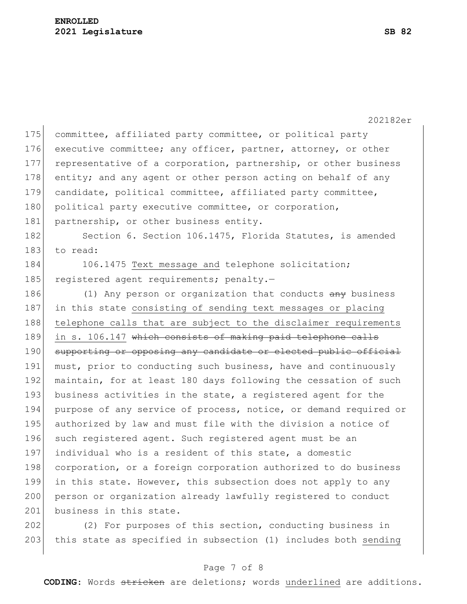|     | 202182er                                                         |
|-----|------------------------------------------------------------------|
| 175 | committee, affiliated party committee, or political party        |
| 176 | executive committee; any officer, partner, attorney, or other    |
| 177 | representative of a corporation, partnership, or other business  |
| 178 | entity; and any agent or other person acting on behalf of any    |
| 179 | candidate, political committee, affiliated party committee,      |
| 180 | political party executive committee, or corporation,             |
| 181 | partnership, or other business entity.                           |
| 182 | Section 6. Section 106.1475, Florida Statutes, is amended        |
| 183 | to read:                                                         |
| 184 | 106.1475 Text message and telephone solicitation;                |
| 185 | registered agent requirements; penalty.-                         |
| 186 | (1) Any person or organization that conducts any business        |
| 187 | in this state consisting of sending text messages or placing     |
| 188 | telephone calls that are subject to the disclaimer requirements  |
| 189 | in s. 106.147 which consists of making paid telephone calls      |
| 190 | supporting or opposing any candidate or elected public official  |
| 191 | must, prior to conducting such business, have and continuously   |
| 192 | maintain, for at least 180 days following the cessation of such  |
| 193 | business activities in the state, a registered agent for the     |
| 194 | purpose of any service of process, notice, or demand required or |
| 195 | authorized by law and must file with the division a notice of    |
| 196 | such registered agent. Such registered agent must be an          |
| 197 | individual who is a resident of this state, a domestic           |
| 198 | corporation, or a foreign corporation authorized to do business  |
| 199 | in this state. However, this subsection does not apply to any    |
| 200 | person or organization already lawfully registered to conduct    |
| 201 | business in this state.                                          |
| 202 | (2) For purposes of this section, conducting business in         |

#### Page 7 of 8

203 this state as specified in subsection (1) includes both sending